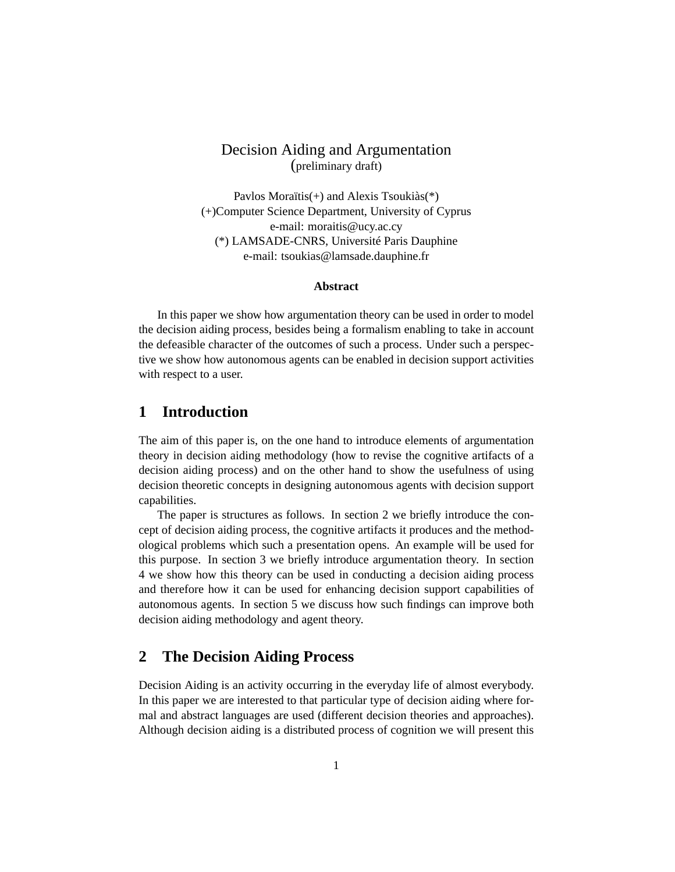## Decision Aiding and Argumentation (preliminary draft)

Pavlos Moraïtis(+) and Alexis Tsoukiàs(\*) (+)Computer Science Department, University of Cyprus e-mail: moraitis@ucy.ac.cy (\*) LAMSADE-CNRS, Université Paris Dauphine e-mail: tsoukias@lamsade.dauphine.fr

#### **Abstract**

In this paper we show how argumentation theory can be used in order to model the decision aiding process, besides being a formalism enabling to take in account the defeasible character of the outcomes of such a process. Under such a perspective we show how autonomous agents can be enabled in decision support activities with respect to a user.

## **1 Introduction**

The aim of this paper is, on the one hand to introduce elements of argumentation theory in decision aiding methodology (how to revise the cognitive artifacts of a decision aiding process) and on the other hand to show the usefulness of using decision theoretic concepts in designing autonomous agents with decision support capabilities.

The paper is structures as follows. In section 2 we briefly introduce the concept of decision aiding process, the cognitive artifacts it produces and the methodological problems which such a presentation opens. An example will be used for this purpose. In section 3 we briefly introduce argumentation theory. In section 4 we show how this theory can be used in conducting a decision aiding process and therefore how it can be used for enhancing decision support capabilities of autonomous agents. In section 5 we discuss how such findings can improve both decision aiding methodology and agent theory.

### **2 The Decision Aiding Process**

Decision Aiding is an activity occurring in the everyday life of almost everybody. In this paper we are interested to that particular type of decision aiding where formal and abstract languages are used (different decision theories and approaches). Although decision aiding is a distributed process of cognition we will present this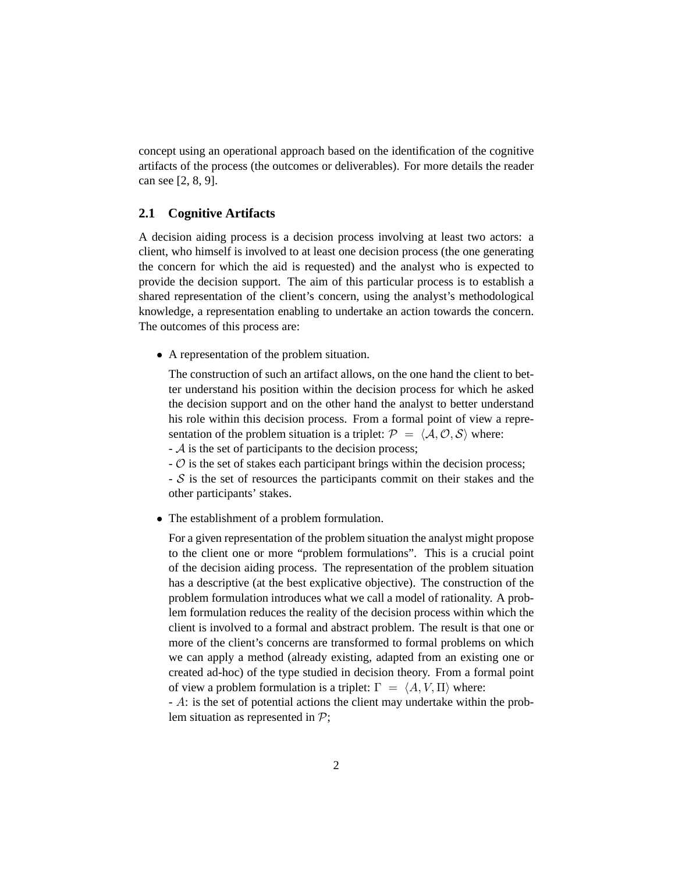concept using an operational approach based on the identification of the cognitive artifacts of the process (the outcomes or deliverables). For more details the reader can see [2, 8, 9].

### **2.1 Cognitive Artifacts**

A decision aiding process is a decision process involving at least two actors: a client, who himself is involved to at least one decision process (the one generating the concern for which the aid is requested) and the analyst who is expected to provide the decision support. The aim of this particular process is to establish a shared representation of the client's concern, using the analyst's methodological knowledge, a representation enabling to undertake an action towards the concern. The outcomes of this process are:

• A representation of the problem situation.

The construction of such an artifact allows, on the one hand the client to better understand his position within the decision process for which he asked the decision support and on the other hand the analyst to better understand his role within this decision process. From a formal point of view a representation of the problem situation is a triplet:  $P = \langle A, O, S \rangle$  where:

 $-$  A is the set of participants to the decision process;

 $\sim$   $\sigma$  is the set of stakes each participant brings within the decision process;

 $-S$  is the set of resources the participants commit on their stakes and the other participants' stakes.

• The establishment of a problem formulation.

For a given representation of the problem situation the analyst might propose to the client one or more "problem formulations". This is a crucial point of the decision aiding process. The representation of the problem situation has a descriptive (at the best explicative objective). The construction of the problem formulation introduces what we call a model of rationality. A problem formulation reduces the reality of the decision process within which the client is involved to a formal and abstract problem. The result is that one or more of the client's concerns are transformed to formal problems on which we can apply a method (already existing, adapted from an existing one or created ad-hoc) of the type studied in decision theory. From a formal point of view a problem formulation is a triplet:  $\Gamma = \langle A, V, \Pi \rangle$  where:

- A: is the set of potential actions the client may undertake within the problem situation as represented in  $\mathcal{P}$ ;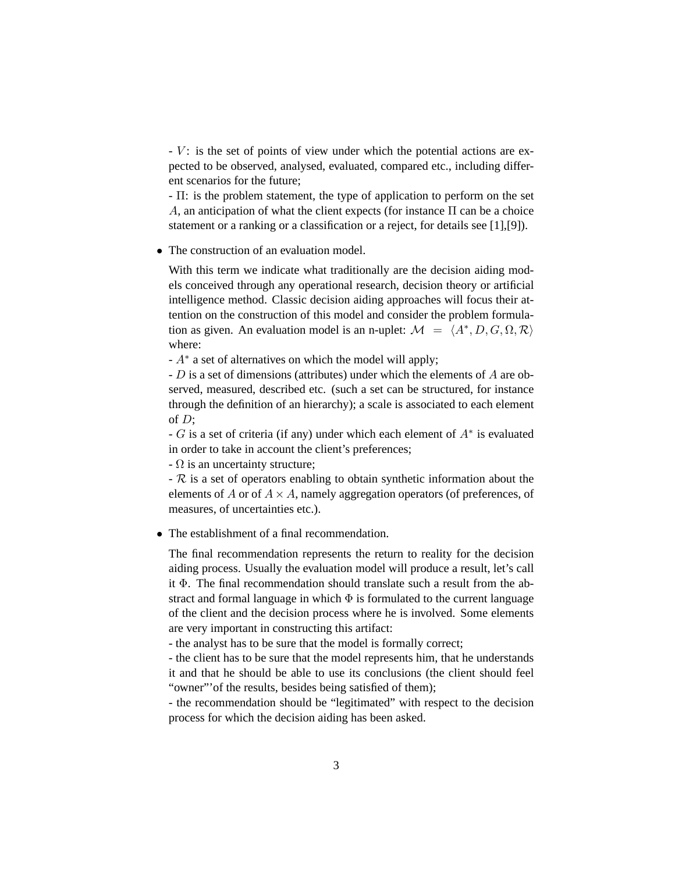$-V$ : is the set of points of view under which the potential actions are expected to be observed, analysed, evaluated, compared etc., including different scenarios for the future;

- Π: is the problem statement, the type of application to perform on the set A, an anticipation of what the client expects (for instance  $\Pi$  can be a choice statement or a ranking or a classification or a reject, for details see [1],[9]).

• The construction of an evaluation model.

With this term we indicate what traditionally are the decision aiding models conceived through any operational research, decision theory or artificial intelligence method. Classic decision aiding approaches will focus their attention on the construction of this model and consider the problem formulation as given. An evaluation model is an n-uplet:  $M = \langle A^*, D, G, \Omega, \mathcal{R} \rangle$ where:

 $-A^*$  a set of alternatives on which the model will apply;

- D is a set of dimensions (attributes) under which the elements of A are observed, measured, described etc. (such a set can be structured, for instance through the definition of an hierarchy); a scale is associated to each element of  $D$ ;

 $-G$  is a set of criteria (if any) under which each element of  $A^*$  is evaluated in order to take in account the client's preferences;

 $\Omega$  is an uncertainty structure;

 $-R$  is a set of operators enabling to obtain synthetic information about the elements of A or of  $A \times A$ , namely aggregation operators (of preferences, of measures, of uncertainties etc.).

• The establishment of a final recommendation.

The final recommendation represents the return to reality for the decision aiding process. Usually the evaluation model will produce a result, let's call it Φ. The final recommendation should translate such a result from the abstract and formal language in which  $\Phi$  is formulated to the current language of the client and the decision process where he is involved. Some elements are very important in constructing this artifact:

- the analyst has to be sure that the model is formally correct;

- the client has to be sure that the model represents him, that he understands it and that he should be able to use its conclusions (the client should feel "owner"'of the results, besides being satisfied of them);

- the recommendation should be "legitimated" with respect to the decision process for which the decision aiding has been asked.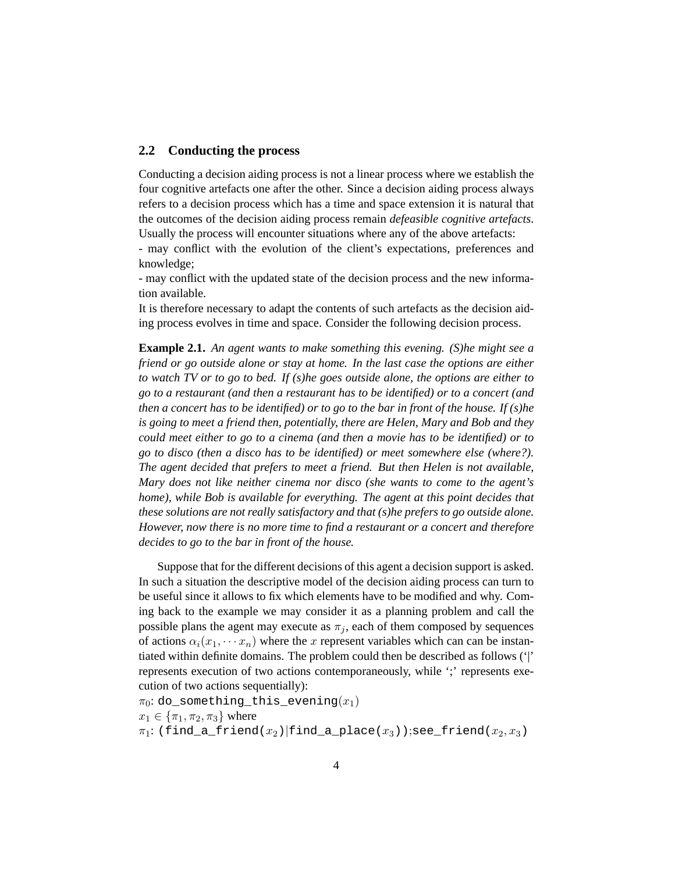#### **2.2 Conducting the process**

Conducting a decision aiding process is not a linear process where we establish the four cognitive artefacts one after the other. Since a decision aiding process always refers to a decision process which has a time and space extension it is natural that the outcomes of the decision aiding process remain *defeasible cognitive artefacts*. Usually the process will encounter situations where any of the above artefacts:

- may conflict with the evolution of the client's expectations, preferences and knowledge;

- may conflict with the updated state of the decision process and the new information available.

It is therefore necessary to adapt the contents of such artefacts as the decision aiding process evolves in time and space. Consider the following decision process.

**Example 2.1.** *An agent wants to make something this evening. (S)he might see a friend or go outside alone or stay at home. In the last case the options are either to watch TV or to go to bed. If (s)he goes outside alone, the options are either to go to a restaurant (and then a restaurant has to be identified) or to a concert (and then a concert has to be identified) or to go to the bar in front of the house. If (s)he is going to meet a friend then, potentially, there are Helen, Mary and Bob and they could meet either to go to a cinema (and then a movie has to be identified) or to go to disco (then a disco has to be identified) or meet somewhere else (where?). The agent decided that prefers to meet a friend. But then Helen is not available, Mary does not like neither cinema nor disco (she wants to come to the agent's home), while Bob is available for everything. The agent at this point decides that these solutions are not really satisfactory and that (s)he prefers to go outside alone. However, now there is no more time to find a restaurant or a concert and therefore decides to go to the bar in front of the house.*

Suppose that for the different decisions of this agent a decision support is asked. In such a situation the descriptive model of the decision aiding process can turn to be useful since it allows to fix which elements have to be modified and why. Coming back to the example we may consider it as a planning problem and call the possible plans the agent may execute as  $\pi_i$ , each of them composed by sequences of actions  $\alpha_i(x_1, \dots, x_n)$  where the x represent variables which can can be instantiated within definite domains. The problem could then be described as follows ('|' represents execution of two actions contemporaneously, while ';' represents execution of two actions sequentially):

 $\pi_0$ : do\_something\_this\_evening $(x_1)$  $x_1 \in {\pi_1, \pi_2, \pi_3}$  where  $\pi_1$ : (find\_a\_friend( $x_2$ )|find\_a\_place( $x_3$ ));see\_friend( $x_2, x_3$ )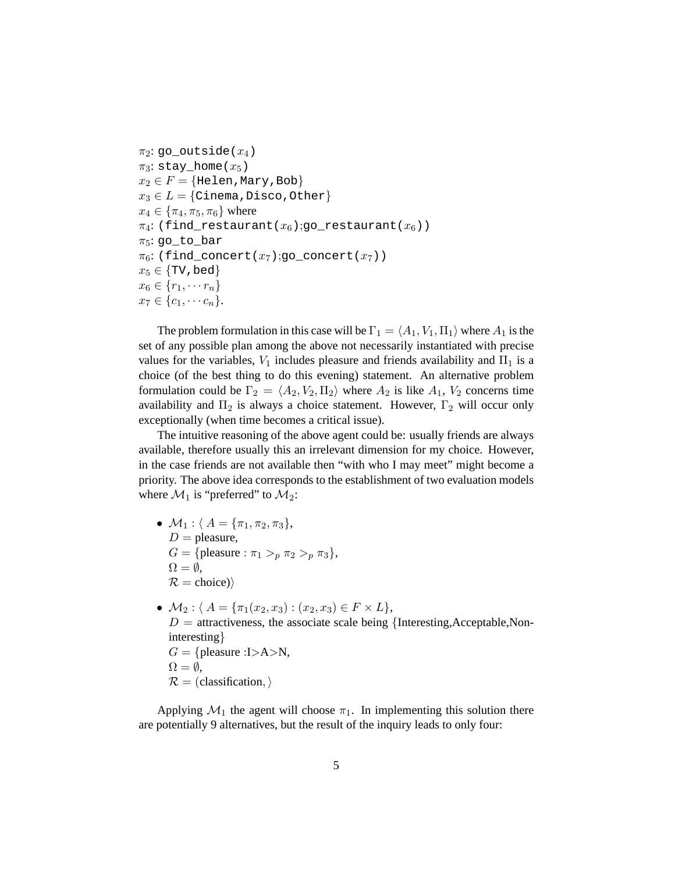```
\pi_2: go_outside(x_4)
\pi_3: stay_home(x_5)
x_2 \in F = \{Helen, Mary, Bob\}x_3 \in L = \{Cinema, Disco, Other\}x_4 \in {\pi_4, \pi_5, \pi_6} where
\pi_4: (find_restaurant(x_6);go_restaurant(x_6))
\pi_5: go_to_bar
\pi_6: (find_concert(x_7);go_concert(x_7))
x_5 \in \{\text{TV}, \text{bed}\}\x_6 \in \{r_1, \cdots r_n\}x_7 \in \{c_1, \cdots c_n\}.
```
The problem formulation in this case will be  $\Gamma_1 = \langle A_1, V_1, \Pi_1 \rangle$  where  $A_1$  is the set of any possible plan among the above not necessarily instantiated with precise values for the variables,  $V_1$  includes pleasure and friends availability and  $\Pi_1$  is a choice (of the best thing to do this evening) statement. An alternative problem formulation could be  $\Gamma_2 = \langle A_2, V_2, \Pi_2 \rangle$  where  $A_2$  is like  $A_1$ ,  $V_2$  concerns time availability and  $\Pi_2$  is always a choice statement. However,  $\Gamma_2$  will occur only exceptionally (when time becomes a critical issue).

The intuitive reasoning of the above agent could be: usually friends are always available, therefore usually this an irrelevant dimension for my choice. However, in the case friends are not available then "with who I may meet" might become a priority. The above idea corresponds to the establishment of two evaluation models where  $\mathcal{M}_1$  is "preferred" to  $\mathcal{M}_2$ :

- $M_1$  :  $A = {\pi_1, \pi_2, \pi_3}$ ,  $D =$  pleasure,  $G = \{\text{please}: \pi_1 > p \pi_2 > p \pi_3\},\$  $\Omega = \emptyset$ ,  $\mathcal{R} = \text{choice}$ )
- $\mathcal{M}_2$  :  $A = {\pi_1(x_2, x_3) : (x_2, x_3) \in F \times L},$  $D =$  attractiveness, the associate scale being {Interesting, Acceptable, Noninteresting}  $G = \{\text{pleasure : } I \gt A \gt N,$  $\Omega = \emptyset$ ,  $\mathcal{R} =$  (classification,)

Applying  $\mathcal{M}_1$  the agent will choose  $\pi_1$ . In implementing this solution there are potentially 9 alternatives, but the result of the inquiry leads to only four: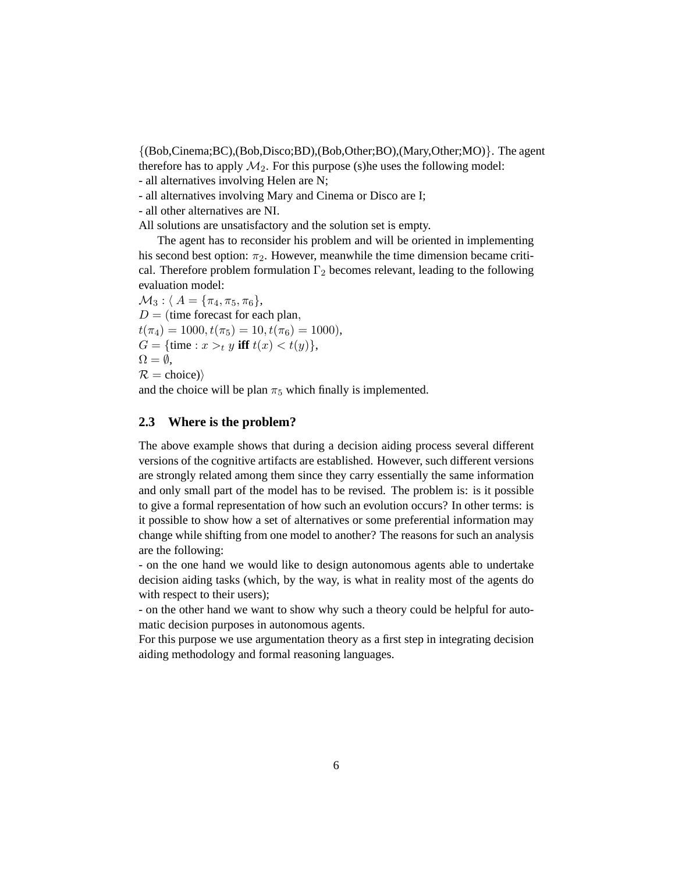{(Bob,Cinema;BC),(Bob,Disco;BD),(Bob,Other;BO),(Mary,Other;MO)}. The agent therefore has to apply  $\mathcal{M}_2$ . For this purpose (s)he uses the following model:

- all alternatives involving Helen are N;

- all alternatives involving Mary and Cinema or Disco are I;

- all other alternatives are NI.

All solutions are unsatisfactory and the solution set is empty.

The agent has to reconsider his problem and will be oriented in implementing his second best option:  $\pi_2$ . However, meanwhile the time dimension became critical. Therefore problem formulation  $\Gamma_2$  becomes relevant, leading to the following evaluation model:

 $\mathcal{M}_3$  :  $A = {\pi_4, \pi_5, \pi_6},$  $D =$  (time forecast for each plan,  $t(\pi_4) = 1000, t(\pi_5) = 10, t(\pi_6) = 1000$  $G = \{$ time :  $x >_t y$  **iff**  $t(x) < t(y) \}$ ,  $\Omega = \emptyset$ ,  $\mathcal{R} = \text{choice}$ )

and the choice will be plan  $\pi_5$  which finally is implemented.

#### **2.3 Where is the problem?**

The above example shows that during a decision aiding process several different versions of the cognitive artifacts are established. However, such different versions are strongly related among them since they carry essentially the same information and only small part of the model has to be revised. The problem is: is it possible to give a formal representation of how such an evolution occurs? In other terms: is it possible to show how a set of alternatives or some preferential information may change while shifting from one model to another? The reasons for such an analysis are the following:

- on the one hand we would like to design autonomous agents able to undertake decision aiding tasks (which, by the way, is what in reality most of the agents do with respect to their users);

- on the other hand we want to show why such a theory could be helpful for automatic decision purposes in autonomous agents.

For this purpose we use argumentation theory as a first step in integrating decision aiding methodology and formal reasoning languages.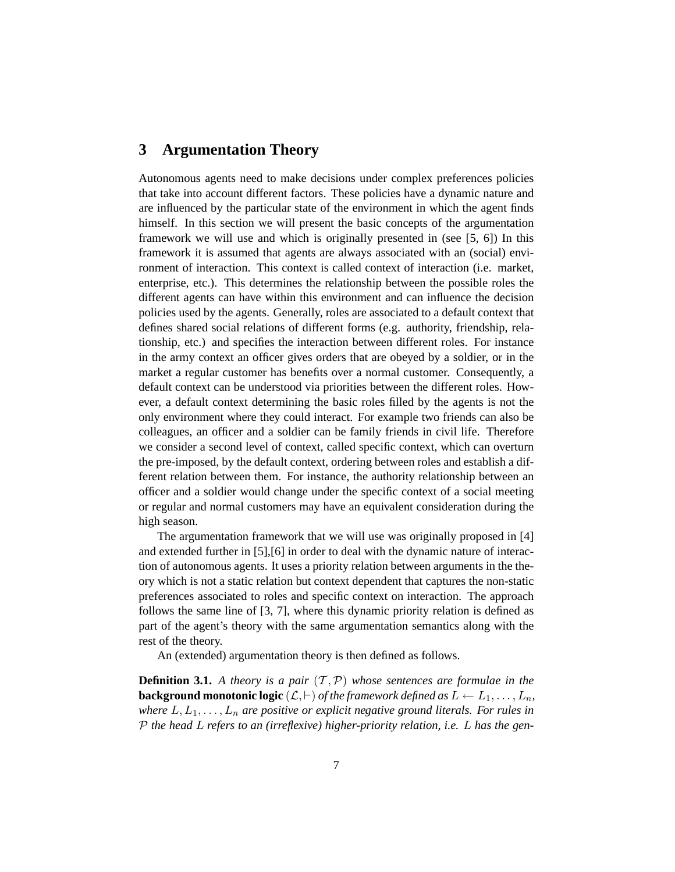### **3 Argumentation Theory**

Autonomous agents need to make decisions under complex preferences policies that take into account different factors. These policies have a dynamic nature and are influenced by the particular state of the environment in which the agent finds himself. In this section we will present the basic concepts of the argumentation framework we will use and which is originally presented in (see [5, 6]) In this framework it is assumed that agents are always associated with an (social) environment of interaction. This context is called context of interaction (i.e. market, enterprise, etc.). This determines the relationship between the possible roles the different agents can have within this environment and can influence the decision policies used by the agents. Generally, roles are associated to a default context that defines shared social relations of different forms (e.g. authority, friendship, relationship, etc.) and specifies the interaction between different roles. For instance in the army context an officer gives orders that are obeyed by a soldier, or in the market a regular customer has benefits over a normal customer. Consequently, a default context can be understood via priorities between the different roles. However, a default context determining the basic roles filled by the agents is not the only environment where they could interact. For example two friends can also be colleagues, an officer and a soldier can be family friends in civil life. Therefore we consider a second level of context, called specific context, which can overturn the pre-imposed, by the default context, ordering between roles and establish a different relation between them. For instance, the authority relationship between an officer and a soldier would change under the specific context of a social meeting or regular and normal customers may have an equivalent consideration during the high season.

The argumentation framework that we will use was originally proposed in [4] and extended further in [5],[6] in order to deal with the dynamic nature of interaction of autonomous agents. It uses a priority relation between arguments in the theory which is not a static relation but context dependent that captures the non-static preferences associated to roles and specific context on interaction. The approach follows the same line of [3, 7], where this dynamic priority relation is defined as part of the agent's theory with the same argumentation semantics along with the rest of the theory.

An (extended) argumentation theory is then defined as follows.

**Definition 3.1.** A theory is a pair  $(T, P)$  whose sentences are formulae in the **background monotonic logic**  $(L, \vdash)$  *of the framework defined as*  $L \leftarrow L_1, \ldots, L_n$ , *where*  $L, L_1, \ldots, L_n$  *are positive or explicit negative ground literals. For rules in* P *the head* L *refers to an (irreflexive) higher-priority relation, i.e.* L *has the gen-*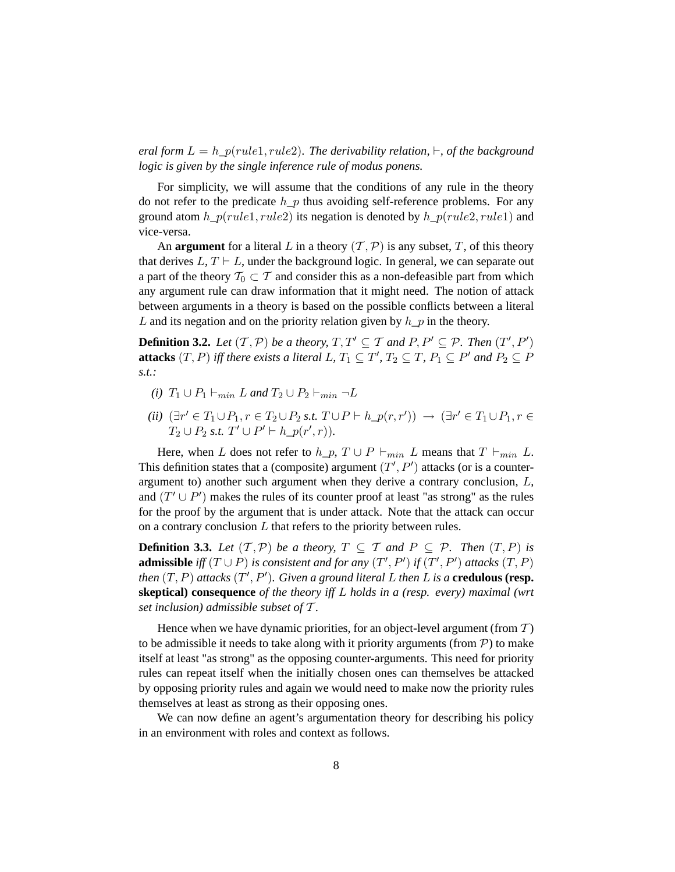*eral form*  $L = h_p(\text{rule1}, \text{rule2}).$  *The derivability relation,*  $\vdash$ , *of the background logic is given by the single inference rule of modus ponens.*

For simplicity, we will assume that the conditions of any rule in the theory do not refer to the predicate h  $p$  thus avoiding self-reference problems. For any ground atom  $h_p(rule1, rule2)$  its negation is denoted by  $h_p(rule2, rule1)$  and vice-versa.

An **argument** for a literal L in a theory  $(\mathcal{T}, \mathcal{P})$  is any subset, T, of this theory that derives  $L, T \vdash L$ , under the background logic. In general, we can separate out a part of the theory  $T_0 \subset T$  and consider this as a non-defeasible part from which any argument rule can draw information that it might need. The notion of attack between arguments in a theory is based on the possible conflicts between a literal L and its negation and on the priority relation given by  $h_{p}$  in the theory.

**Definition 3.2.** Let  $(T, P)$  be a theory,  $T, T' \subseteq T$  and  $P, P' \subseteq P$ . Then  $(T', P')$ **attacks**  $(T, P)$  iff there exists a literal L,  $T_1 \subseteq T'$ ,  $T_2 \subseteq T$ ,  $P_1 \subseteq P'$  and  $P_2 \subseteq P$ *s.t.:*

- *(i)*  $T_1 \cup P_1 \vdash_{min} L$  *and*  $T_2 \cup P_2 \vdash_{min} \neg L$
- *(ii)*  $(\exists r' \in T_1 \cup P_1, r \in T_2 \cup P_2 \text{ s.t. } T \cup P \vdash h_p(r, r')) \rightarrow (\exists r' \in T_1 \cup P_1, r \in T_2 \cup T_1)$  $T_2 \cup P_2 \text{ s.t. } T' \cup P' \vdash h\_p(r', r)$ *)*.

Here, when L does not refer to  $h_p$ ,  $T \cup P \vdash_{min} L$  means that  $T \vdash_{min} L$ . This definition states that a (composite) argument  $(T', P')$  attacks (or is a counterargument to) another such argument when they derive a contrary conclusion, L, and  $(T' \cup P')$  makes the rules of its counter proof at least "as strong" as the rules for the proof by the argument that is under attack. Note that the attack can occur on a contrary conclusion  $L$  that refers to the priority between rules.

**Definition 3.3.** *Let*  $(T, P)$  *be a theory,*  $T \subseteq T$  *and*  $P \subseteq P$ *. Then*  $(T, P)$  *is* **admissible** *iff*  $(T \cup P)$  *is consistent and for any*  $(T', P')$  *if*  $(T', P')$  *attacks*  $(T, P)$ *then*  $(T, P)$  *attacks*  $(T', P')$ *. Given a ground literal* L *then* L *is a* **credulous (resp. skeptical) consequence** *of the theory iff* L *holds in a (resp. every) maximal (wrt set inclusion) admissible subset of* T *.*

Hence when we have dynamic priorities, for an object-level argument (from  $T$ ) to be admissible it needs to take along with it priority arguments (from  $P$ ) to make itself at least "as strong" as the opposing counter-arguments. This need for priority rules can repeat itself when the initially chosen ones can themselves be attacked by opposing priority rules and again we would need to make now the priority rules themselves at least as strong as their opposing ones.

We can now define an agent's argumentation theory for describing his policy in an environment with roles and context as follows.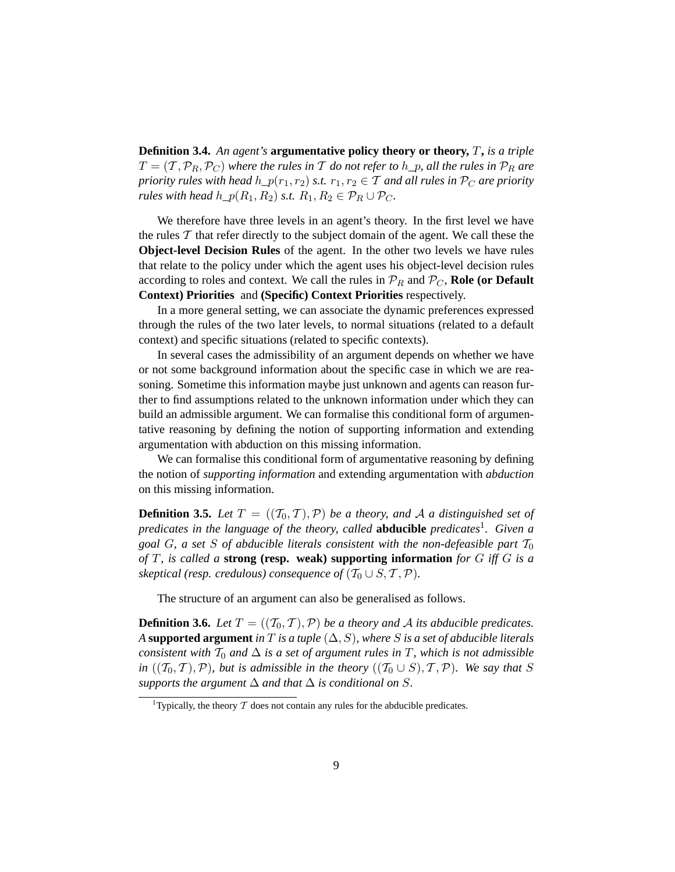**Definition 3.4.** *An agent's* **argumentative policy theory or theory,** T**,** *is a triple*  $T = (T, \mathcal{P}_R, \mathcal{P}_C)$  *where the rules in* T *do not refer to*  $h_p$ *, all the rules in*  $\mathcal{P}_R$  *are priority rules with head*  $h_p(r_1, r_2)$  *s.t.*  $r_1, r_2 \in \mathcal{T}$  *and all rules in*  $\mathcal{P}_C$  *are priority rules with head*  $h_p(R_1, R_2)$  *s.t.*  $R_1, R_2 \in \mathcal{P}_R \cup \mathcal{P}_C$ *.* 

We therefore have three levels in an agent's theory. In the first level we have the rules  $T$  that refer directly to the subject domain of the agent. We call these the **Object-level Decision Rules** of the agent. In the other two levels we have rules that relate to the policy under which the agent uses his object-level decision rules according to roles and context. We call the rules in  $\mathcal{P}_R$  and  $\mathcal{P}_C$ , **Role (or Default Context) Priorities** and **(Specific) Context Priorities** respectively.

In a more general setting, we can associate the dynamic preferences expressed through the rules of the two later levels, to normal situations (related to a default context) and specific situations (related to specific contexts).

In several cases the admissibility of an argument depends on whether we have or not some background information about the specific case in which we are reasoning. Sometime this information maybe just unknown and agents can reason further to find assumptions related to the unknown information under which they can build an admissible argument. We can formalise this conditional form of argumentative reasoning by defining the notion of supporting information and extending argumentation with abduction on this missing information.

We can formalise this conditional form of argumentative reasoning by defining the notion of *supporting information* and extending argumentation with *abduction* on this missing information.

**Definition 3.5.** *Let*  $T = ((T_0, T), P)$  *be a theory, and* A *a distinguished set of predicates in the language of the theory, called* **abducible** *predicates*<sup>1</sup> *. Given a goal* G, a set S of abducible literals consistent with the non-defeasible part  $T_0$ *of* T*, is called a* **strong (resp. weak) supporting information** *for* G *iff* G *is a skeptical (resp. credulous) consequence of*  $(\mathcal{T}_0 \cup S, \mathcal{T}, \mathcal{P})$ *.* 

The structure of an argument can also be generalised as follows.

**Definition 3.6.** *Let*  $T = ((T_0, T), P)$  *be a theory and* A *its abducible predicates. A* supported argument *in*  $T$  *is a tuple*  $(\Delta, S)$ *, where*  $S$  *is a set of abducible literals consistent with*  $T_0$  *and*  $\Delta$  *is a set of argument rules in*  $T$ *, which is not admissible in*  $((T_0, T), P)$ *, but is admissible in the theory*  $((T_0 \cup S), T, P)$ *. We say that* S *supports the argument*  $\Delta$  *and that*  $\Delta$  *is conditional on* S.

<sup>&</sup>lt;sup>1</sup>Typically, the theory  $T$  does not contain any rules for the abducible predicates.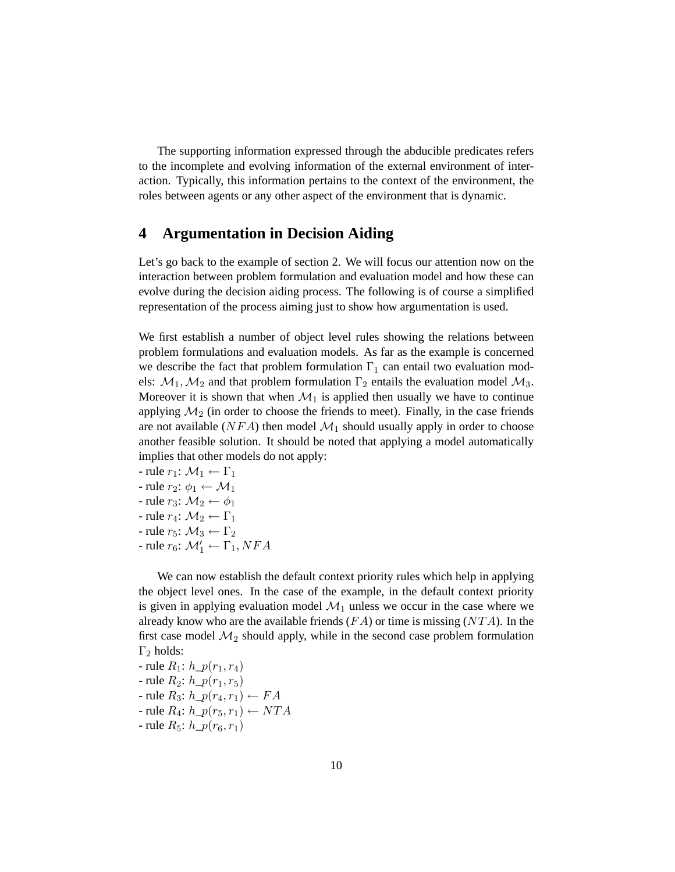The supporting information expressed through the abducible predicates refers to the incomplete and evolving information of the external environment of interaction. Typically, this information pertains to the context of the environment, the roles between agents or any other aspect of the environment that is dynamic.

### **4 Argumentation in Decision Aiding**

Let's go back to the example of section 2. We will focus our attention now on the interaction between problem formulation and evaluation model and how these can evolve during the decision aiding process. The following is of course a simplified representation of the process aiming just to show how argumentation is used.

We first establish a number of object level rules showing the relations between problem formulations and evaluation models. As far as the example is concerned we describe the fact that problem formulation  $\Gamma_1$  can entail two evaluation models:  $\mathcal{M}_1, \mathcal{M}_2$  and that problem formulation  $\Gamma_2$  entails the evaluation model  $\mathcal{M}_3$ . Moreover it is shown that when  $\mathcal{M}_1$  is applied then usually we have to continue applying  $\mathcal{M}_2$  (in order to choose the friends to meet). Finally, in the case friends are not available ( $NFA$ ) then model  $\mathcal{M}_1$  should usually apply in order to choose another feasible solution. It should be noted that applying a model automatically implies that other models do not apply:

- rule  $r_1$ :  $\mathcal{M}_1 \leftarrow \Gamma_1$ - rule  $r_2$ :  $\phi_1 \leftarrow \mathcal{M}_1$ - rule  $r_3$ :  $\mathcal{M}_2 \leftarrow \phi_1$ - rule  $r_4$ :  $\mathcal{M}_2 \leftarrow \Gamma_1$ - rule  $r_5$ :  $\mathcal{M}_3 \leftarrow \Gamma_2$
- rule  $r_6$ :  $\mathcal{M}'_1 \leftarrow \Gamma_1, NFA$

We can now establish the default context priority rules which help in applying the object level ones. In the case of the example, in the default context priority is given in applying evaluation model  $\mathcal{M}_1$  unless we occur in the case where we already know who are the available friends  $(FA)$  or time is missing  $(NTA)$ . In the first case model  $\mathcal{M}_2$  should apply, while in the second case problem formulation  $\Gamma_2$  holds:

- rule  $R_1: h\_p(r_1, r_4)$ - rule  $R_2$ :  $h_p(r_1, r_5)$ - rule  $R_3$ :  $h\_p(r_4, r_1) \leftarrow FA$ - rule  $R_4$ :  $h_p(r_5, r_1) \leftarrow NTA$ - rule  $R_5: h\_p(r_6, r_1)$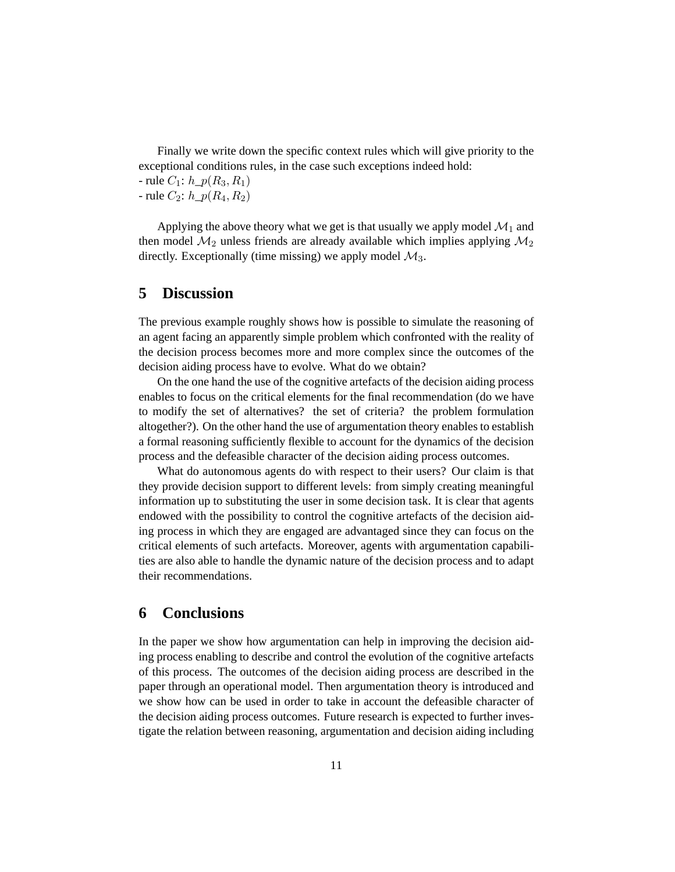Finally we write down the specific context rules which will give priority to the exceptional conditions rules, in the case such exceptions indeed hold:

- rule  $C_1: h_p(R_3, R_1)$ 

- rule  $C_2$ :  $h_p(R_4, R_2)$ 

Applying the above theory what we get is that usually we apply model  $\mathcal{M}_1$  and then model  $\mathcal{M}_2$  unless friends are already available which implies applying  $\mathcal{M}_2$ directly. Exceptionally (time missing) we apply model  $\mathcal{M}_3$ .

### **5 Discussion**

The previous example roughly shows how is possible to simulate the reasoning of an agent facing an apparently simple problem which confronted with the reality of the decision process becomes more and more complex since the outcomes of the decision aiding process have to evolve. What do we obtain?

On the one hand the use of the cognitive artefacts of the decision aiding process enables to focus on the critical elements for the final recommendation (do we have to modify the set of alternatives? the set of criteria? the problem formulation altogether?). On the other hand the use of argumentation theory enables to establish a formal reasoning sufficiently flexible to account for the dynamics of the decision process and the defeasible character of the decision aiding process outcomes.

What do autonomous agents do with respect to their users? Our claim is that they provide decision support to different levels: from simply creating meaningful information up to substituting the user in some decision task. It is clear that agents endowed with the possibility to control the cognitive artefacts of the decision aiding process in which they are engaged are advantaged since they can focus on the critical elements of such artefacts. Moreover, agents with argumentation capabilities are also able to handle the dynamic nature of the decision process and to adapt their recommendations.

### **6 Conclusions**

In the paper we show how argumentation can help in improving the decision aiding process enabling to describe and control the evolution of the cognitive artefacts of this process. The outcomes of the decision aiding process are described in the paper through an operational model. Then argumentation theory is introduced and we show how can be used in order to take in account the defeasible character of the decision aiding process outcomes. Future research is expected to further investigate the relation between reasoning, argumentation and decision aiding including